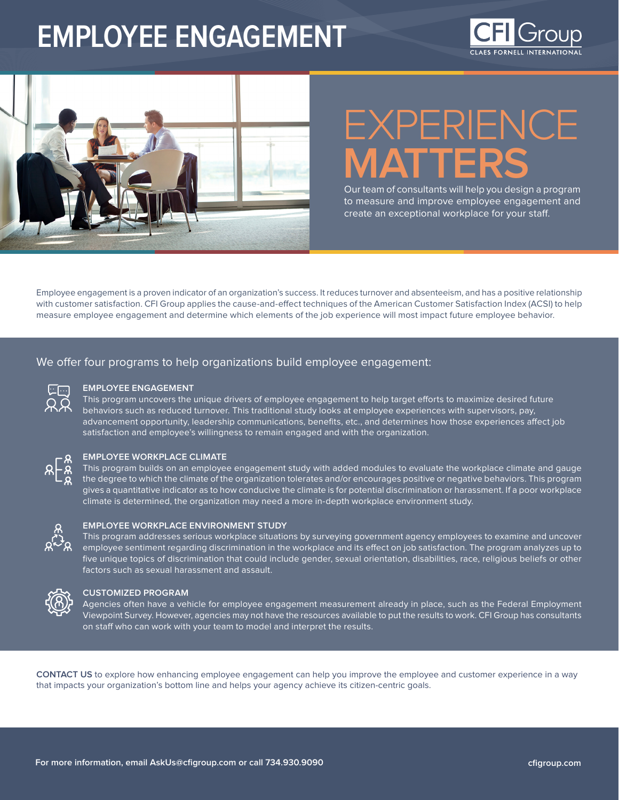# **EMPLOYEE ENGAGEMENT**





# EXPERIENCE **MATTERS**

Our team of consultants will help you design a program to measure and improve employee engagement and create an exceptional workplace for your staff.

Employee engagement is a proven indicator of an organization's success. It reduces turnover and absenteeism, and has a positive relationship with customer satisfaction. CFI Group applies the cause-and-effect techniques of the American Customer Satisfaction Index (ACSI) to help measure employee engagement and determine which elements of the job experience will most impact future employee behavior.

## We offer four programs to help organizations build employee engagement:

| $\sim$ |
|--------|
|        |

#### **EMPLOYEE ENGAGEMENT**

This program uncovers the unique drivers of employee engagement to help target efforts to maximize desired future behaviors such as reduced turnover. This traditional study looks at employee experiences with supervisors, pay, advancement opportunity, leadership communications, benefits, etc., and determines how those experiences affect job satisfaction and employee's willingness to remain engaged and with the organization.



#### **EMPLOYEE WORKPLACE CLIMATE**

This program builds on an employee engagement study with added modules to evaluate the workplace climate and gauge the degree to which the climate of the organization tolerates and/or encourages positive or negative behaviors. This program gives a quantitative indicator as to how conducive the climate is for potential discrimination or harassment. If a poor workplace climate is determined, the organization may need a more in-depth workplace environment study.



#### **EMPLOYEE WORKPLACE ENVIRONMENT STUDY**

This program addresses serious workplace situations by surveying government agency employees to examine and uncover employee sentiment regarding discrimination in the workplace and its effect on job satisfaction. The program analyzes up to five unique topics of discrimination that could include gender, sexual orientation, disabilities, race, religious beliefs or other factors such as sexual harassment and assault.



#### **CUSTOMIZED PROGRAM**

Agencies often have a vehicle for employee engagement measurement already in place, such as the Federal Employment Viewpoint Survey. However, agencies may not have the resources available to put the results to work. CFI Group has consultants on staff who can work with your team to model and interpret the results.

**[CONTACT US](https://cfigroup.com/about/contact-us/)** to explore how enhancing employee engagement can help you improve the employee and customer experience in a way that impacts your organization's bottom line and helps your agency achieve its citizen-centric goals.